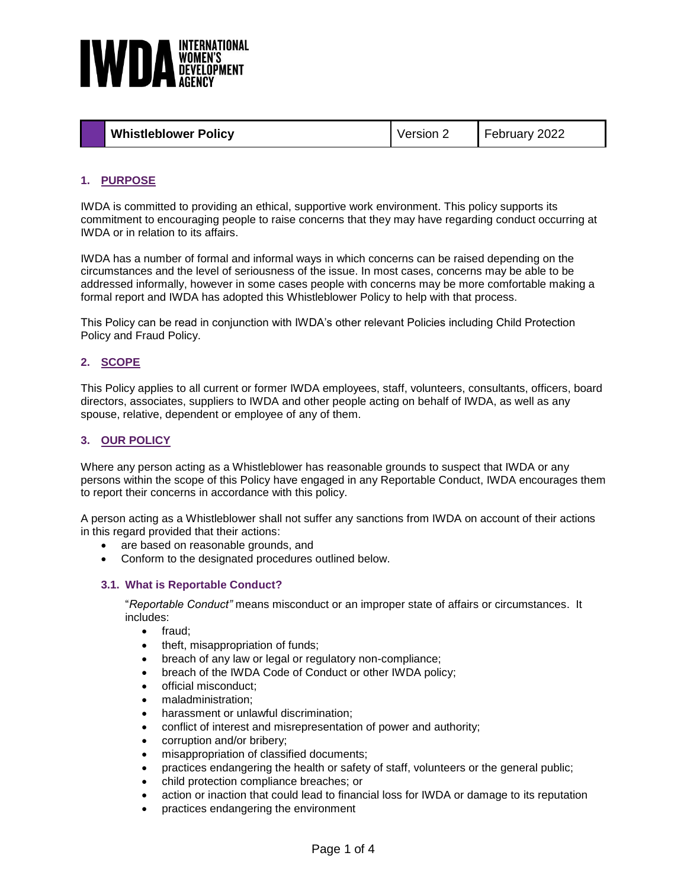

| <b>Whistleblower Policy</b><br>February 2022<br>Version 2 |
|-----------------------------------------------------------|
|-----------------------------------------------------------|

# **1. PURPOSE**

IWDA is committed to providing an ethical, supportive work environment. This policy supports its commitment to encouraging people to raise concerns that they may have regarding conduct occurring at IWDA or in relation to its affairs.

IWDA has a number of formal and informal ways in which concerns can be raised depending on the circumstances and the level of seriousness of the issue. In most cases, concerns may be able to be addressed informally, however in some cases people with concerns may be more comfortable making a formal report and IWDA has adopted this Whistleblower Policy to help with that process.

This Policy can be read in conjunction with IWDA's other relevant Policies including Child Protection Policy and Fraud Policy.

#### **2. SCOPE**

This Policy applies to all current or former IWDA employees, staff, volunteers, consultants, officers, board directors, associates, suppliers to IWDA and other people acting on behalf of IWDA, as well as any spouse, relative, dependent or employee of any of them.

#### **3. OUR POLICY**

Where any person acting as a Whistleblower has reasonable grounds to suspect that IWDA or any persons within the scope of this Policy have engaged in any Reportable Conduct, IWDA encourages them to report their concerns in accordance with this policy.

A person acting as a Whistleblower shall not suffer any sanctions from IWDA on account of their actions in this regard provided that their actions:

- are based on reasonable grounds, and
- Conform to the designated procedures outlined below.

#### **3.1. What is Reportable Conduct?**

"*Reportable Conduct"* means misconduct or an improper state of affairs or circumstances. It includes:

- fraud:
- theft, misappropriation of funds;
- breach of any law or legal or regulatory non-compliance;
- breach of the IWDA Code of Conduct or other IWDA policy;
- official misconduct;
- maladministration;
- harassment or unlawful discrimination:
- conflict of interest and misrepresentation of power and authority;
- corruption and/or bribery;
- misappropriation of classified documents;
- practices endangering the health or safety of staff, volunteers or the general public;
- child protection compliance breaches; or
- action or inaction that could lead to financial loss for IWDA or damage to its reputation
- practices endangering the environment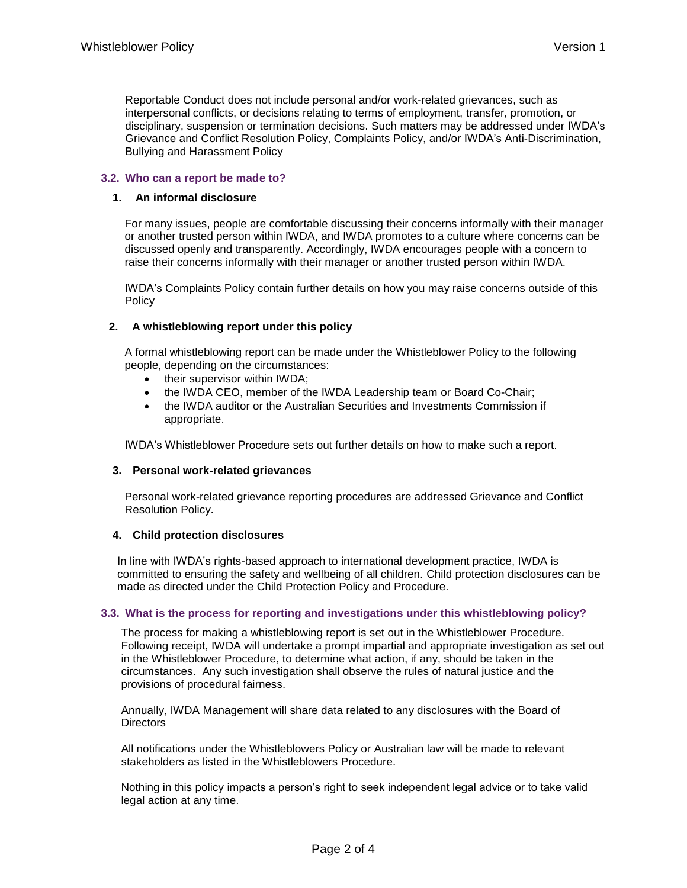Reportable Conduct does not include personal and/or work-related grievances, such as interpersonal conflicts, or decisions relating to terms of employment, transfer, promotion, or disciplinary, suspension or termination decisions. Such matters may be addressed under IWDA's Grievance and Conflict Resolution Policy, Complaints Policy, and/or IWDA's Anti-Discrimination, Bullying and Harassment Policy

### **3.2. Who can a report be made to?**

#### **1. An informal disclosure**

For many issues, people are comfortable discussing their concerns informally with their manager or another trusted person within IWDA, and IWDA promotes to a culture where concerns can be discussed openly and transparently. Accordingly, IWDA encourages people with a concern to raise their concerns informally with their manager or another trusted person within IWDA.

IWDA's Complaints Policy contain further details on how you may raise concerns outside of this Policy

#### **2. A whistleblowing report under this policy**

A formal whistleblowing report can be made under the Whistleblower Policy to the following people, depending on the circumstances:

- their supervisor within IWDA;
- the IWDA CEO, member of the IWDA Leadership team or Board Co-Chair;
- the IWDA auditor or the Australian Securities and Investments Commission if appropriate.

IWDA's Whistleblower Procedure sets out further details on how to make such a report.

#### **3. Personal work-related grievances**

Personal work-related grievance reporting procedures are addressed Grievance and Conflict Resolution Policy.

#### **4. Child protection disclosures**

In line with IWDA's rights-based approach to international development practice, IWDA is committed to ensuring the safety and wellbeing of all children. Child protection disclosures can be made as directed under the Child Protection Policy and Procedure.

#### **3.3. What is the process for reporting and investigations under this whistleblowing policy?**

The process for making a whistleblowing report is set out in the Whistleblower Procedure. Following receipt, IWDA will undertake a prompt impartial and appropriate investigation as set out in the Whistleblower Procedure, to determine what action, if any, should be taken in the circumstances. Any such investigation shall observe the rules of natural justice and the provisions of procedural fairness.

Annually, IWDA Management will share data related to any disclosures with the Board of **Directors** 

All notifications under the Whistleblowers Policy or Australian law will be made to relevant stakeholders as listed in the Whistleblowers Procedure.

Nothing in this policy impacts a person's right to seek independent legal advice or to take valid legal action at any time.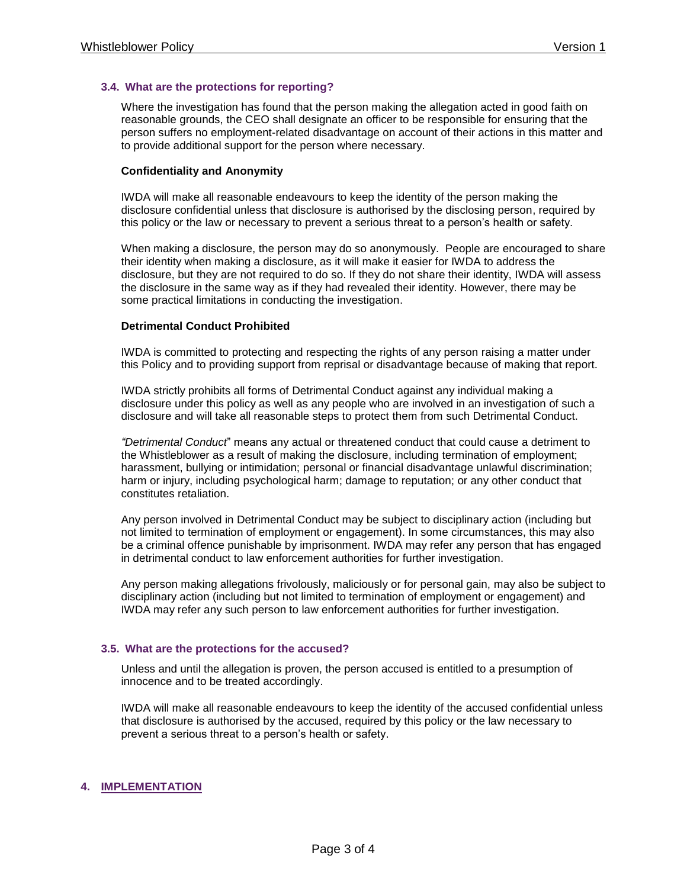## **3.4. What are the protections for reporting?**

Where the investigation has found that the person making the allegation acted in good faith on reasonable grounds, the CEO shall designate an officer to be responsible for ensuring that the person suffers no employment-related disadvantage on account of their actions in this matter and to provide additional support for the person where necessary.

#### **Confidentiality and Anonymity**

IWDA will make all reasonable endeavours to keep the identity of the person making the disclosure confidential unless that disclosure is authorised by the disclosing person, required by this policy or the law or necessary to prevent a serious threat to a person's health or safety.

When making a disclosure, the person may do so anonymously. People are encouraged to share their identity when making a disclosure, as it will make it easier for IWDA to address the disclosure, but they are not required to do so. If they do not share their identity, IWDA will assess the disclosure in the same way as if they had revealed their identity. However, there may be some practical limitations in conducting the investigation.

#### **Detrimental Conduct Prohibited**

IWDA is committed to protecting and respecting the rights of any person raising a matter under this Policy and to providing support from reprisal or disadvantage because of making that report.

IWDA strictly prohibits all forms of Detrimental Conduct against any individual making a disclosure under this policy as well as any people who are involved in an investigation of such a disclosure and will take all reasonable steps to protect them from such Detrimental Conduct.

*"Detrimental Conduct*" means any actual or threatened conduct that could cause a detriment to the Whistleblower as a result of making the disclosure, including termination of employment; harassment, bullying or intimidation; personal or financial disadvantage unlawful discrimination; harm or injury, including psychological harm; damage to reputation; or any other conduct that constitutes retaliation.

Any person involved in Detrimental Conduct may be subject to disciplinary action (including but not limited to termination of employment or engagement). In some circumstances, this may also be a criminal offence punishable by imprisonment. IWDA may refer any person that has engaged in detrimental conduct to law enforcement authorities for further investigation.

Any person making allegations frivolously, maliciously or for personal gain, may also be subject to disciplinary action (including but not limited to termination of employment or engagement) and IWDA may refer any such person to law enforcement authorities for further investigation.

#### **3.5. What are the protections for the accused?**

Unless and until the allegation is proven, the person accused is entitled to a presumption of innocence and to be treated accordingly.

IWDA will make all reasonable endeavours to keep the identity of the accused confidential unless that disclosure is authorised by the accused, required by this policy or the law necessary to prevent a serious threat to a person's health or safety.

# **4. IMPLEMENTATION**